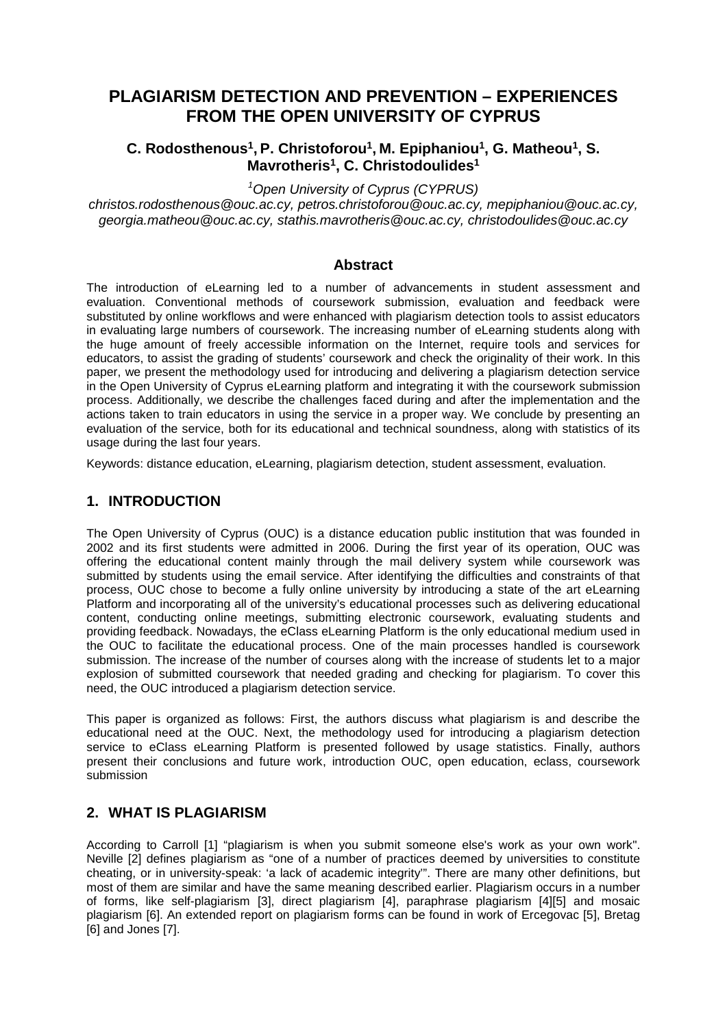# **PLAGIARISM DETECTION AND PREVENTION – EXPERIENCES FROM THE OPEN UNIVERSITY OF CYPRUS**

### **C. Rodosthenous1, P. Christoforou1, M. Epiphaniou1, G. Matheou1, S. Mavrotheris1, C. Christodoulides1**

*1 Open University of Cyprus (CYPRUS)*

*christos.rodosthenous@ouc.ac.cy, petros.christoforou@ouc.ac.cy, mepiphaniou@ouc.ac.cy, georgia.matheou@ouc.ac.cy, stathis.mavrotheris@ouc.ac.cy, christodoulides@ouc.ac.cy*

#### **Abstract**

The introduction of eLearning led to a number of advancements in student assessment and evaluation. Conventional methods of coursework submission, evaluation and feedback were substituted by online workflows and were enhanced with plagiarism detection tools to assist educators in evaluating large numbers of coursework. The increasing number of eLearning students along with the huge amount of freely accessible information on the Internet, require tools and services for educators, to assist the grading of students' coursework and check the originality of their work. In this paper, we present the methodology used for introducing and delivering a plagiarism detection service in the Open University of Cyprus eLearning platform and integrating it with the coursework submission process. Additionally, we describe the challenges faced during and after the implementation and the actions taken to train educators in using the service in a proper way. We conclude by presenting an evaluation of the service, both for its educational and technical soundness, along with statistics of its usage during the last four years.

Keywords: distance education, eLearning, plagiarism detection, student assessment, evaluation.

### **1. INTRODUCTION**

The Open University of Cyprus (OUC) is a distance education public institution that was founded in 2002 and its first students were admitted in 2006. During the first year of its operation, OUC was offering the educational content mainly through the mail delivery system while coursework was submitted by students using the email service. After identifying the difficulties and constraints of that process, OUC chose to become a fully online university by introducing a state of the art eLearning Platform and incorporating all of the university's educational processes such as delivering educational content, conducting online meetings, submitting electronic coursework, evaluating students and providing feedback. Nowadays, the eClass eLearning Platform is the only educational medium used in the OUC to facilitate the educational process. One of the main processes handled is coursework submission. The increase of the number of courses along with the increase of students let to a major explosion of submitted coursework that needed grading and checking for plagiarism. To cover this need, the OUC introduced a plagiarism detection service.

This paper is organized as follows: First, the authors discuss what plagiarism is and describe the educational need at the OUC. Next, the methodology used for introducing a plagiarism detection service to eClass eLearning Platform is presented followed by usage statistics. Finally, authors present their conclusions and future work, introduction OUC, open education, eclass, coursework submission

## **2. WHAT IS PLAGIARISM**

According to Carroll [1] "plagiarism is when you submit someone else's work as your own work". Neville [2] defines plagiarism as "one of a number of practices deemed by universities to constitute cheating, or in university-speak: 'a lack of academic integrity'". There are many other definitions, but most of them are similar and have the same meaning described earlier. Plagiarism occurs in a number of forms, like self-plagiarism [3], direct plagiarism [4], paraphrase plagiarism [4][5] and mosaic plagiarism [6]. An extended report on plagiarism forms can be found in work of Ercegovac [5], Bretag [6] and Jones [7].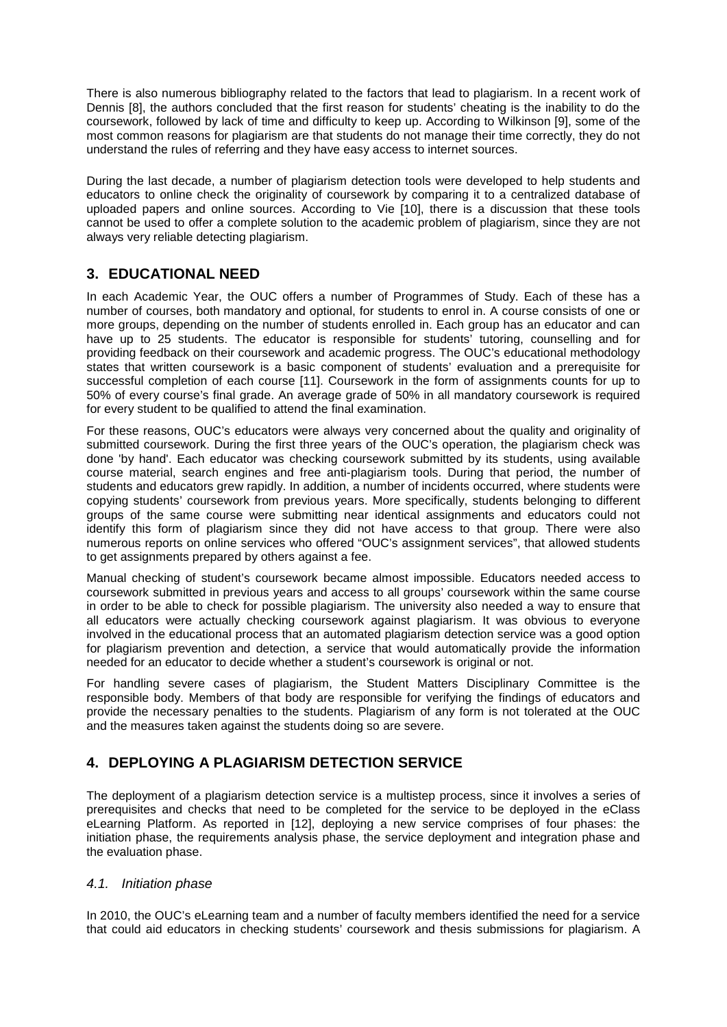There is also numerous bibliography related to the factors that lead to plagiarism. In a recent work of Dennis [8], the authors concluded that the first reason for students' cheating is the inability to do the coursework, followed by lack of time and difficulty to keep up. According to Wilkinson [9], some of the most common reasons for plagiarism are that students do not manage their time correctly, they do not understand the rules of referring and they have easy access to internet sources.

During the last decade, a number of plagiarism detection tools were developed to help students and educators to online check the originality of coursework by comparing it to a centralized database of uploaded papers and online sources. According to Vie [10], there is a discussion that these tools cannot be used to offer a complete solution to the academic problem of plagiarism, since they are not always very reliable detecting plagiarism.

## **3. EDUCATIONAL NEED**

In each Academic Year, the OUC offers a number of Programmes of Study. Each of these has a number of courses, both mandatory and optional, for students to enrol in. A course consists of one or more groups, depending on the number of students enrolled in. Each group has an educator and can have up to 25 students. The educator is responsible for students' tutoring, counselling and for providing feedback on their coursework and academic progress. The OUC's educational methodology states that written coursework is a basic component of students' evaluation and a prerequisite for successful completion of each course [11]. Coursework in the form of assignments counts for up to 50% of every course's final grade. An average grade of 50% in all mandatory coursework is required for every student to be qualified to attend the final examination.

For these reasons, OUC's educators were always very concerned about the quality and originality of submitted coursework. During the first three years of the OUC's operation, the plagiarism check was done 'by hand'. Each educator was checking coursework submitted by its students, using available course material, search engines and free anti-plagiarism tools. During that period, the number of students and educators grew rapidly. In addition, a number of incidents occurred, where students were copying students' coursework from previous years. More specifically, students belonging to different groups of the same course were submitting near identical assignments and educators could not identify this form of plagiarism since they did not have access to that group. There were also numerous reports on online services who offered "OUC's assignment services", that allowed students to get assignments prepared by others against a fee.

Manual checking of student's coursework became almost impossible. Educators needed access to coursework submitted in previous years and access to all groups' coursework within the same course in order to be able to check for possible plagiarism. The university also needed a way to ensure that all educators were actually checking coursework against plagiarism. It was obvious to everyone involved in the educational process that an automated plagiarism detection service was a good option for plagiarism prevention and detection, a service that would automatically provide the information needed for an educator to decide whether a student's coursework is original or not.

For handling severe cases of plagiarism, the Student Matters Disciplinary Committee is the responsible body. Members of that body are responsible for verifying the findings of educators and provide the necessary penalties to the students. Plagiarism of any form is not tolerated at the OUC and the measures taken against the students doing so are severe.

# **4. DEPLOYING A PLAGIARISM DETECTION SERVICE**

The deployment of a plagiarism detection service is a multistep process, since it involves a series of prerequisites and checks that need to be completed for the service to be deployed in the eClass eLearning Platform. As reported in [12], deploying a new service comprises of four phases: the initiation phase, the requirements analysis phase, the service deployment and integration phase and the evaluation phase.

### *4.1. Initiation phase*

In 2010, the OUC's eLearning team and a number of faculty members identified the need for a service that could aid educators in checking students' coursework and thesis submissions for plagiarism. A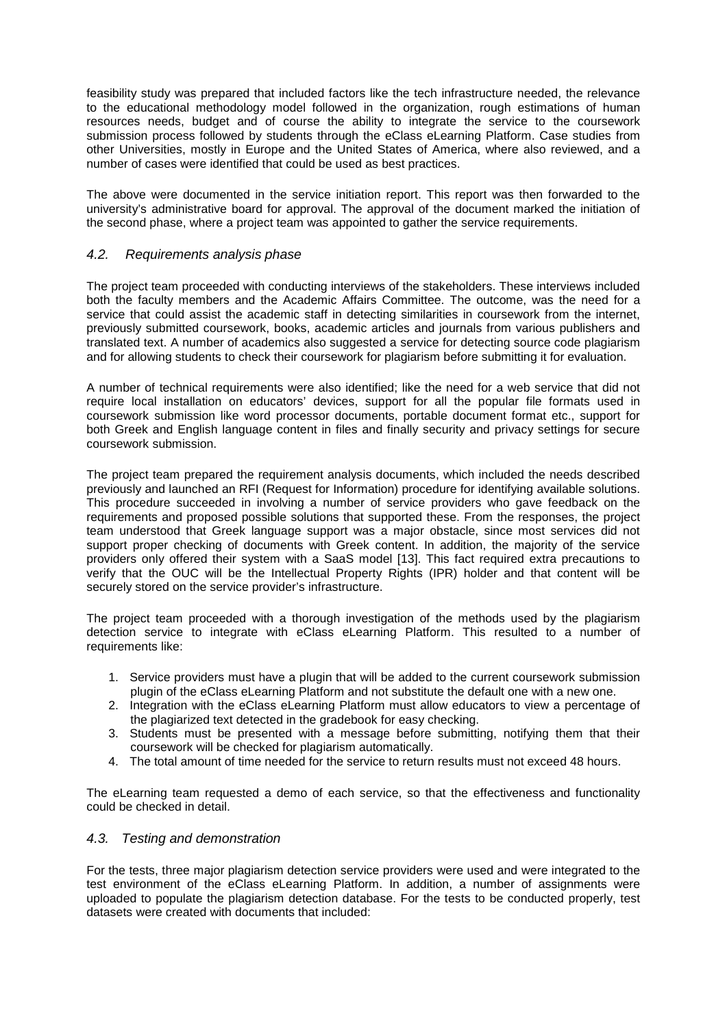feasibility study was prepared that included factors like the tech infrastructure needed, the relevance to the educational methodology model followed in the organization, rough estimations of human resources needs, budget and of course the ability to integrate the service to the coursework submission process followed by students through the eClass eLearning Platform. Case studies from other Universities, mostly in Europe and the United States of America, where also reviewed, and a number of cases were identified that could be used as best practices.

The above were documented in the service initiation report. This report was then forwarded to the university's administrative board for approval. The approval of the document marked the initiation of the second phase, where a project team was appointed to gather the service requirements.

#### *4.2. Requirements analysis phase*

The project team proceeded with conducting interviews of the stakeholders. These interviews included both the faculty members and the Academic Affairs Committee. The outcome, was the need for a service that could assist the academic staff in detecting similarities in coursework from the internet, previously submitted coursework, books, academic articles and journals from various publishers and translated text. A number of academics also suggested a service for detecting source code plagiarism and for allowing students to check their coursework for plagiarism before submitting it for evaluation.

A number of technical requirements were also identified; like the need for a web service that did not require local installation on educators' devices, support for all the popular file formats used in coursework submission like word processor documents, portable document format etc., support for both Greek and English language content in files and finally security and privacy settings for secure coursework submission.

The project team prepared the requirement analysis documents, which included the needs described previously and launched an RFI (Request for Information) procedure for identifying available solutions. This procedure succeeded in involving a number of service providers who gave feedback on the requirements and proposed possible solutions that supported these. From the responses, the project team understood that Greek language support was a major obstacle, since most services did not support proper checking of documents with Greek content. In addition, the majority of the service providers only offered their system with a SaaS model [13]. This fact required extra precautions to verify that the OUC will be the Intellectual Property Rights (IPR) holder and that content will be securely stored on the service provider's infrastructure.

The project team proceeded with a thorough investigation of the methods used by the plagiarism detection service to integrate with eClass eLearning Platform. This resulted to a number of requirements like:

- 1. Service providers must have a plugin that will be added to the current coursework submission plugin of the eClass eLearning Platform and not substitute the default one with a new one.
- 2. Integration with the eClass eLearning Platform must allow educators to view a percentage of the plagiarized text detected in the gradebook for easy checking.
- 3. Students must be presented with a message before submitting, notifying them that their coursework will be checked for plagiarism automatically.
- 4. The total amount of time needed for the service to return results must not exceed 48 hours.

The eLearning team requested a demo of each service, so that the effectiveness and functionality could be checked in detail.

#### *4.3. Testing and demonstration*

For the tests, three major plagiarism detection service providers were used and were integrated to the test environment of the eClass eLearning Platform. In addition, a number of assignments were uploaded to populate the plagiarism detection database. For the tests to be conducted properly, test datasets were created with documents that included: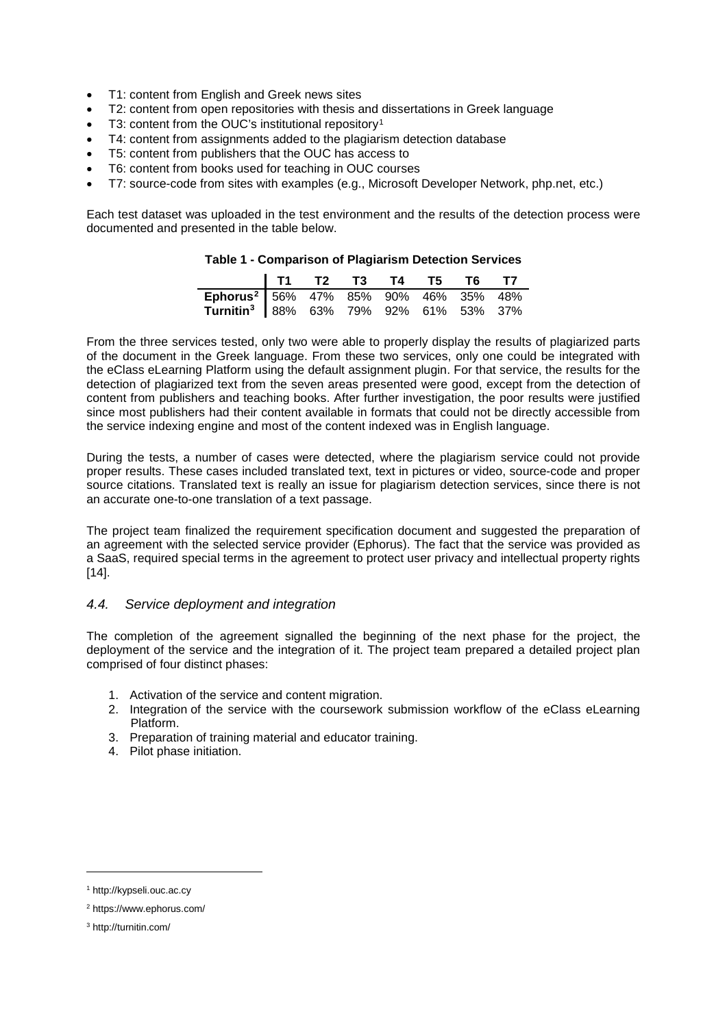- T1: content from English and Greek news sites
- T2: content from open repositories with thesis and dissertations in Greek language
- T3: content from the OUC's institutional repository<sup>[1](#page-3-0)</sup>
- T4: content from assignments added to the plagiarism detection database
- T5: content from publishers that the OUC has access to
- T6: content from books used for teaching in OUC courses
- T7: source-code from sites with examples (e.g., Microsoft Developer Network, php.net, etc.)

Each test dataset was uploaded in the test environment and the results of the detection process were documented and presented in the table below.

|  | Table 1 - Comparison of Plagiarism Detection Services |  |  |  |  |
|--|-------------------------------------------------------|--|--|--|--|
|--|-------------------------------------------------------|--|--|--|--|

|                                                   | T1 T2 T3 T4 T5 T6 T7 |  |  |  |
|---------------------------------------------------|----------------------|--|--|--|
| Ephorus <sup>2</sup> 56% 47% 85% 90% 46% 35% 48%  |                      |  |  |  |
| Turnitin <sup>3</sup> 88% 63% 79% 92% 61% 53% 37% |                      |  |  |  |

From the three services tested, only two were able to properly display the results of plagiarized parts of the document in the Greek language. From these two services, only one could be integrated with the eClass eLearning Platform using the default assignment plugin. For that service, the results for the detection of plagiarized text from the seven areas presented were good, except from the detection of content from publishers and teaching books. After further investigation, the poor results were justified since most publishers had their content available in formats that could not be directly accessible from the service indexing engine and most of the content indexed was in English language.

During the tests, a number of cases were detected, where the plagiarism service could not provide proper results. These cases included translated text, text in pictures or video, source-code and proper source citations. Translated text is really an issue for plagiarism detection services, since there is not an accurate one-to-one translation of a text passage.

The project team finalized the requirement specification document and suggested the preparation of an agreement with the selected service provider (Ephorus). The fact that the service was provided as a SaaS, required special terms in the agreement to protect user privacy and intellectual property rights [14].

#### *4.4. Service deployment and integration*

The completion of the agreement signalled the beginning of the next phase for the project, the deployment of the service and the integration of it. The project team prepared a detailed project plan comprised of four distinct phases:

- 1. Activation of the service and content migration.
- 2. Integration of the service with the coursework submission workflow of the eClass eLearning Platform.
- 3. Preparation of training material and educator training.
- 4. Pilot phase initiation.

-

<span id="page-3-0"></span><sup>1</sup> http://kypseli.ouc.ac.cy

<span id="page-3-1"></span><sup>2</sup> https://www.ephorus.com/

<span id="page-3-2"></span><sup>3</sup> http://turnitin.com/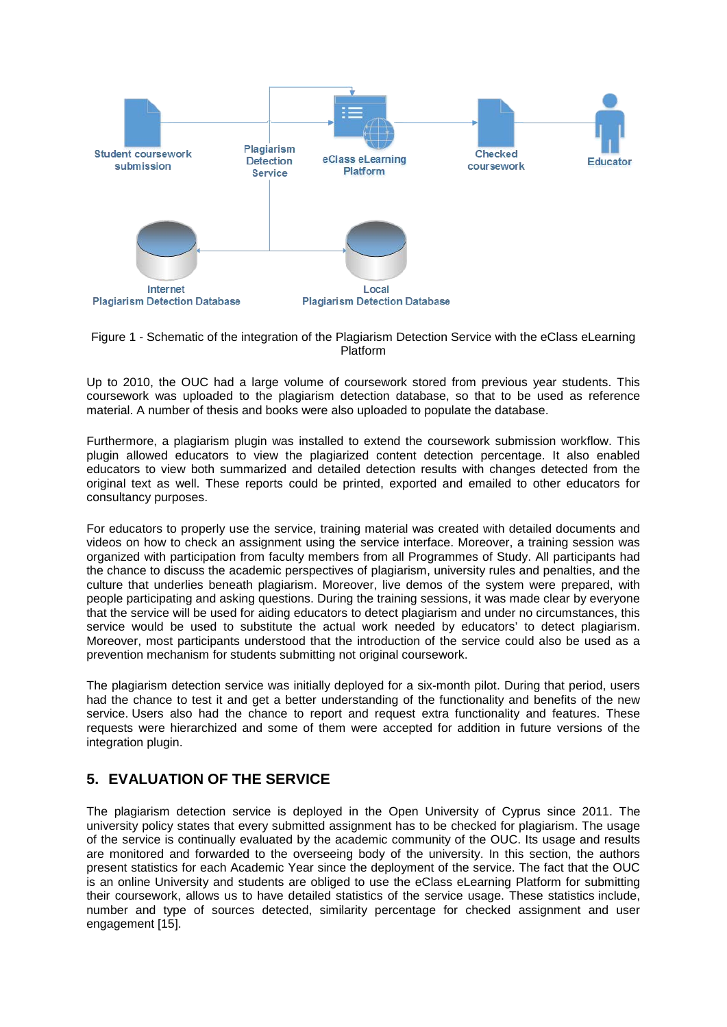

Figure 1 - Schematic of the integration of the Plagiarism Detection Service with the eClass eLearning Platform

Up to 2010, the OUC had a large volume of coursework stored from previous year students. This coursework was uploaded to the plagiarism detection database, so that to be used as reference material. A number of thesis and books were also uploaded to populate the database.

Furthermore, a plagiarism plugin was installed to extend the coursework submission workflow. This plugin allowed educators to view the plagiarized content detection percentage. It also enabled educators to view both summarized and detailed detection results with changes detected from the original text as well. These reports could be printed, exported and emailed to other educators for consultancy purposes.

For educators to properly use the service, training material was created with detailed documents and videos on how to check an assignment using the service interface. Moreover, a training session was organized with participation from faculty members from all Programmes of Study. All participants had the chance to discuss the academic perspectives of plagiarism, university rules and penalties, and the culture that underlies beneath plagiarism. Moreover, live demos of the system were prepared, with people participating and asking questions. During the training sessions, it was made clear by everyone that the service will be used for aiding educators to detect plagiarism and under no circumstances, this service would be used to substitute the actual work needed by educators' to detect plagiarism. Moreover, most participants understood that the introduction of the service could also be used as a prevention mechanism for students submitting not original coursework.

The plagiarism detection service was initially deployed for a six-month pilot. During that period, users had the chance to test it and get a better understanding of the functionality and benefits of the new service. Users also had the chance to report and request extra functionality and features. These requests were hierarchized and some of them were accepted for addition in future versions of the integration plugin.

## **5. EVALUATION OF THE SERVICE**

The plagiarism detection service is deployed in the Open University of Cyprus since 2011. The university policy states that every submitted assignment has to be checked for plagiarism. The usage of the service is continually evaluated by the academic community of the OUC. Its usage and results are monitored and forwarded to the overseeing body of the university. In this section, the authors present statistics for each Academic Year since the deployment of the service. The fact that the OUC is an online University and students are obliged to use the eClass eLearning Platform for submitting their coursework, allows us to have detailed statistics of the service usage. These statistics include, number and type of sources detected, similarity percentage for checked assignment and user engagement [15].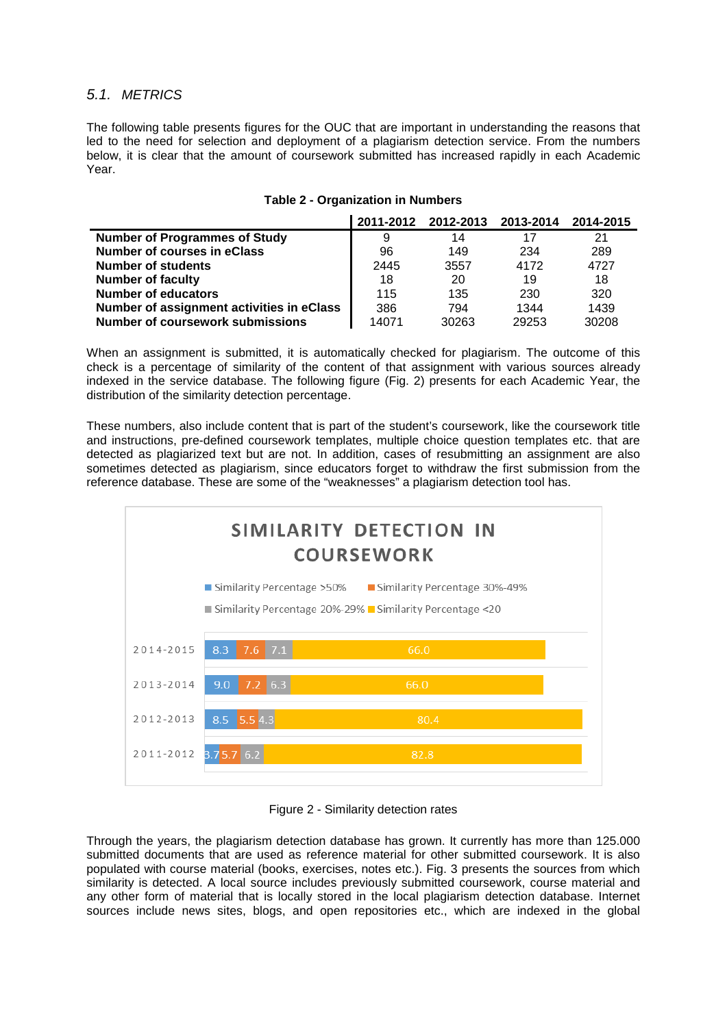#### *5.1. METRICS*

The following table presents figures for the OUC that are important in understanding the reasons that led to the need for selection and deployment of a plagiarism detection service. From the numbers below, it is clear that the amount of coursework submitted has increased rapidly in each Academic Year.

|                                           |       |       | 2011-2012 2012-2013 2013-2014 2014-2015 |       |
|-------------------------------------------|-------|-------|-----------------------------------------|-------|
| <b>Number of Programmes of Study</b>      | 9     | 14    | 17                                      | 21    |
| <b>Number of courses in eClass</b>        | 96    | 149   | 234                                     | 289   |
| <b>Number of students</b>                 | 2445  | 3557  | 4172                                    | 4727  |
| <b>Number of faculty</b>                  | 18    | 20    | 19                                      | 18    |
| <b>Number of educators</b>                | 115   | 135   | 230                                     | 320   |
| Number of assignment activities in eClass | 386   | 794   | 1344                                    | 1439  |
| <b>Number of coursework submissions</b>   | 14071 | 30263 | 29253                                   | 30208 |

#### **Table 2 - Organization in Numbers**

When an assignment is submitted, it is automatically checked for plagiarism. The outcome of this check is a percentage of similarity of the content of that assignment with various sources already indexed in the service database. The following figure (Fig. 2) presents for each Academic Year, the distribution of the similarity detection percentage.

These numbers, also include content that is part of the student's coursework, like the coursework title and instructions, pre-defined coursework templates, multiple choice question templates etc. that are detected as plagiarized text but are not. In addition, cases of resubmitting an assignment are also sometimes detected as plagiarism, since educators forget to withdraw the first submission from the reference database. These are some of the "weaknesses" a plagiarism detection tool has.



Figure 2 - Similarity detection rates

Through the years, the plagiarism detection database has grown. It currently has more than 125.000 submitted documents that are used as reference material for other submitted coursework. It is also populated with course material (books, exercises, notes etc.). Fig. 3 presents the sources from which similarity is detected. A local source includes previously submitted coursework, course material and any other form of material that is locally stored in the local plagiarism detection database. Internet sources include news sites, blogs, and open repositories etc., which are indexed in the global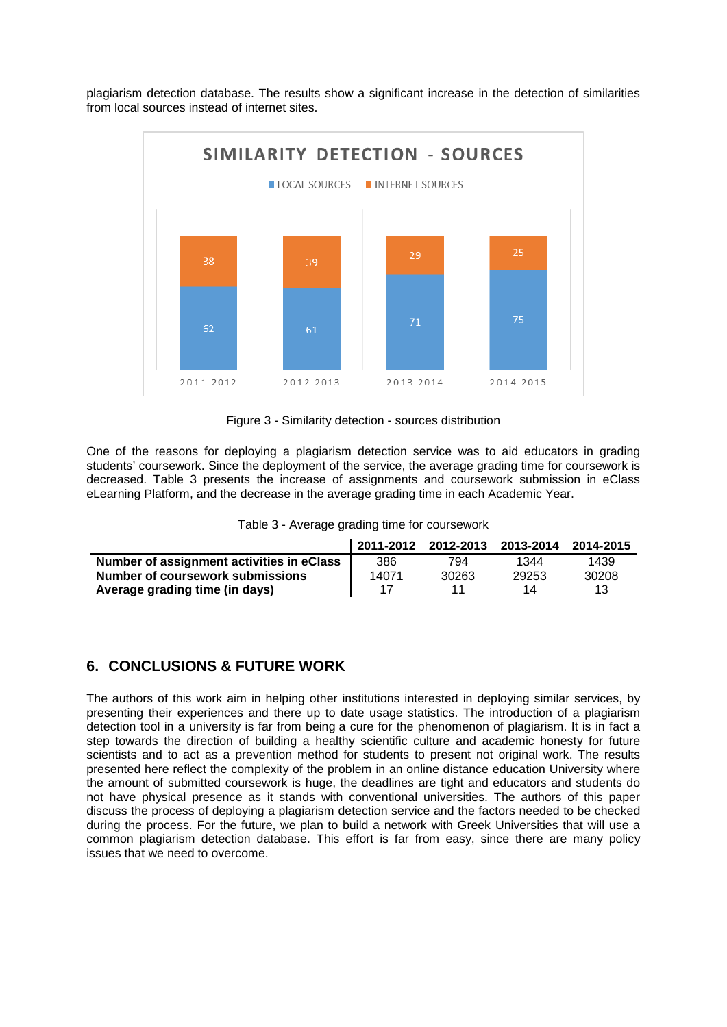plagiarism detection database. The results show a significant increase in the detection of similarities from local sources instead of internet sites.



Figure 3 - Similarity detection - sources distribution

One of the reasons for deploying a plagiarism detection service was to aid educators in grading students' coursework. Since the deployment of the service, the average grading time for coursework is decreased. Table 3 presents the increase of assignments and coursework submission in eClass eLearning Platform, and the decrease in the average grading time in each Academic Year.

|                                           |       |       | 2011-2012 2012-2013 2013-2014 2014-2015 |       |
|-------------------------------------------|-------|-------|-----------------------------------------|-------|
| Number of assignment activities in eClass | 386   | 794   | 1344                                    | 1439  |
| Number of coursework submissions          | 14071 | 30263 | 29253                                   | 30208 |
| Average grading time (in days)            |       |       | 14                                      | 13    |

## **6. CONCLUSIONS & FUTURE WORK**

The authors of this work aim in helping other institutions interested in deploying similar services, by presenting their experiences and there up to date usage statistics. The introduction of a plagiarism detection tool in a university is far from being a cure for the phenomenon of plagiarism. It is in fact a step towards the direction of building a healthy scientific culture and academic honesty for future scientists and to act as a prevention method for students to present not original work. The results presented here reflect the complexity of the problem in an online distance education University where the amount of submitted coursework is huge, the deadlines are tight and educators and students do not have physical presence as it stands with conventional universities. The authors of this paper discuss the process of deploying a plagiarism detection service and the factors needed to be checked during the process. For the future, we plan to build a network with Greek Universities that will use a common plagiarism detection database. This effort is far from easy, since there are many policy issues that we need to overcome.